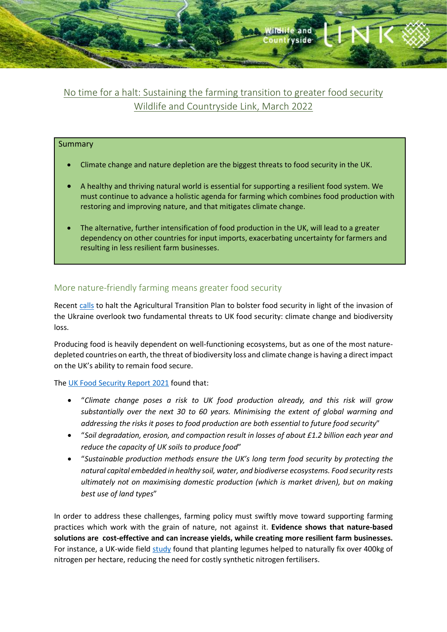

# No time for a halt: Sustaining the farming transition to greater food security Wildlife and Countryside Link, March 2022

### Summary

- Climate change and nature depletion are the biggest threats to food security in the UK.
- A healthy and thriving natural world is essential for supporting a resilient food system. We must continue to advance a holistic agenda for farming which combines food production with restoring and improving nature, and that mitigates climate change.
- The alternative, further intensification of food production in the UK, will lead to a greater dependency on other countries for input imports, exacerbating uncertainty for farmers and resulting in less resilient farm businesses.

## More nature-friendly farming means greater food security

Recent calls to halt the Agricultural Transition Plan to bolster food security in light of the invasion of the Ukraine overlook two fundamental threats to UK food security: climate change and biodiversity loss.

Producing food is heavily dependent on well-functioning ecosystems, but as one of the most naturedepleted countries on earth, the threat of biodiversity loss and climate change is having a direct impact on the UK's ability to remain food secure.

The UK Food Security Report 2021 found that:

- "Climate change poses a risk to UK food production already, and this risk will grow substantially over the next 30 to 60 years. Minimising the extent of global warming and addressing the risks it poses to food production are both essential to future food security"
- "Soil degradation, erosion, and compaction result in losses of about £1.2 billion each year and reduce the capacity of UK soils to produce food"
- "Sustainable production methods ensure the UK's long term food security by protecting the natural capital embedded in healthy soil, water, and biodiverse ecosystems. Food security rests ultimately not on maximising domestic production (which is market driven), but on making best use of land types"

In order to address these challenges, farming policy must swiftly move toward supporting farming practices which work with the grain of nature, not against it. Evidence shows that nature-based solutions are cost-effective and can increase yields, while creating more resilient farm businesses. For instance, a UK-wide field study found that planting legumes helped to naturally fix over 400kg of nitrogen per hectare, reducing the need for costly synthetic nitrogen fertilisers.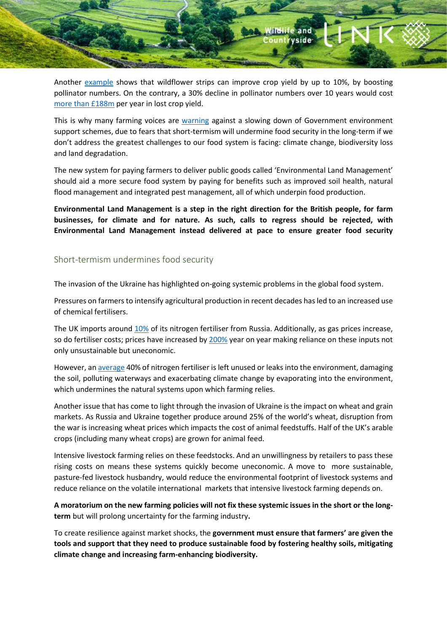

Another example shows that wildflower strips can improve crop yield by up to 10%, by boosting pollinator numbers. On the contrary, a 30% decline in pollinator numbers over 10 years would cost more than £188m per year in lost crop yield.

This is why many farming voices are warning against a slowing down of Government environment support schemes, due to fears that short-termism will undermine food security in the long-term if we don't address the greatest challenges to our food system is facing: climate change, biodiversity loss and land degradation.

The new system for paying farmers to deliver public goods called 'Environmental Land Management' should aid a more secure food system by paying for benefits such as improved soil health, natural flood management and integrated pest management, all of which underpin food production.

Environmental Land Management is a step in the right direction for the British people, for farm businesses, for climate and for nature. As such, calls to regress should be rejected, with Environmental Land Management instead delivered at pace to ensure greater food security

### Short-termism undermines food security

The invasion of the Ukraine has highlighted on-going systemic problems in the global food system.

Pressures on farmers to intensify agricultural production in recent decades has led to an increased use of chemical fertilisers.

The UK imports around 10% of its nitrogen fertiliser from Russia. Additionally, as gas prices increase, so do fertiliser costs; prices have increased by 200% year on year making reliance on these inputs not only unsustainable but uneconomic.

However, an average 40% of nitrogen fertiliser is left unused or leaks into the environment, damaging the soil, polluting waterways and exacerbating climate change by evaporating into the environment, which undermines the natural systems upon which farming relies.

Another issue that has come to light through the invasion of Ukraine is the impact on wheat and grain markets. As Russia and Ukraine together produce around 25% of the world's wheat, disruption from the war is increasing wheat prices which impacts the cost of animal feedstuffs. Half of the UK's arable crops (including many wheat crops) are grown for animal feed.

Intensive livestock farming relies on these feedstocks. And an unwillingness by retailers to pass these rising costs on means these systems quickly become uneconomic. A move to more sustainable, pasture-fed livestock husbandry, would reduce the environmental footprint of livestock systems and reduce reliance on the volatile international markets that intensive livestock farming depends on.

A moratorium on the new farming policies will not fix these systemic issues in the short or the longterm but will prolong uncertainty for the farming industry.

To create resilience against market shocks, the government must ensure that farmers' are given the tools and support that they need to produce sustainable food by fostering healthy soils, mitigating climate change and increasing farm-enhancing biodiversity.